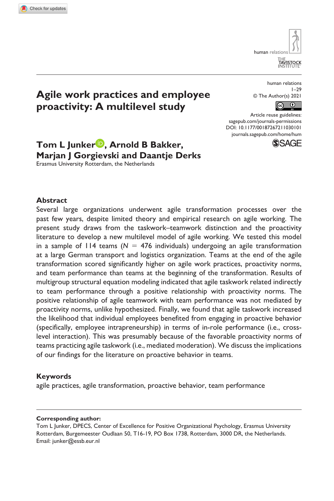**1030[101](http://crossmark.crossref.org/dialog/?doi=10.1177%2F00187267211030101&domain=pdf&date_stamp=2021-07-04)** HUM0010.1177/00187267211030101Human Relations**Junker et al.**

human relatio <sub>FHE</sub><br>TAVISTOC

# **Agile work practices and employee proactivity: A multilevel study**

human relations 1–29 © The Author(s) 2021  $\bigcirc$ 

https://doi.org/10.1177/00187267211030101 DOI: 10.1177/00187267211030101 Article reuse guidelines: [sagepub.com/journals-permissions](https://uk.sagepub.com/en-gb/journals-permissions) [journals.sagepub.com/home/hum](https://journals.sagepub.com/home/hum)



**Tom L Junker , Arnold B Bakker, Marjan J Gorgievski and Daantje Derks**  Erasmus University Rotterdam, the Netherlands

### **Abstract**

Several large organizations underwent agile transformation processes over the past few years, despite limited theory and empirical research on agile working. The present study draws from the taskwork–teamwork distinction and the proactivity literature to develop a new multilevel model of agile working. We tested this model in a sample of  $114$  teams ( $N = 476$  individuals) undergoing an agile transformation at a large German transport and logistics organization. Teams at the end of the agile transformation scored significantly higher on agile work practices, proactivity norms, and team performance than teams at the beginning of the transformation. Results of multigroup structural equation modeling indicated that agile taskwork related indirectly to team performance through a positive relationship with proactivity norms. The positive relationship of agile teamwork with team performance was not mediated by proactivity norms, unlike hypothesized. Finally, we found that agile taskwork increased the likelihood that individual employees benefited from engaging in proactive behavior (specifically, employee intrapreneurship) in terms of in-role performance (i.e., crosslevel interaction). This was presumably because of the favorable proactivity norms of teams practicing agile taskwork (i.e., mediated moderation). We discuss the implications of our findings for the literature on proactive behavior in teams.

### **Keywords**

agile practices, agile transformation, proactive behavior, team performance

### **Corresponding author:**

Tom L Junker, DPECS, Center of Excellence for Positive Organizational Psychology, Erasmus University Rotterdam, Burgemeester Oudlaan 50, T16-19, PO Box 1738, Rotterdam, 3000 DR, the Netherlands. Email: [junker@essb.eur.nl](mailto:junker@essb.eur.nl)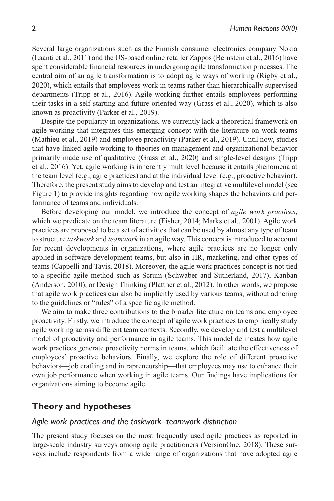Several large organizations such as the Finnish consumer electronics company Nokia (Laanti et al., 2011) and the US-based online retailer Zappos (Bernstein et al., 2016) have spent considerable financial resources in undergoing agile transformation processes. The central aim of an agile transformation is to adopt agile ways of working (Rigby et al., 2020), which entails that employees work in teams rather than hierarchically supervised departments (Tripp et al., 2016). Agile working further entails employees performing their tasks in a self-starting and future-oriented way (Grass et al., 2020), which is also known as proactivity (Parker et al., 2019).

Despite the popularity in organizations, we currently lack a theoretical framework on agile working that integrates this emerging concept with the literature on work teams (Mathieu et al., 2019) and employee proactivity (Parker et al., 2019). Until now, studies that have linked agile working to theories on management and organizational behavior primarily made use of qualitative (Grass et al., 2020) and single-level designs (Tripp et al., 2016). Yet, agile working is inherently multilevel because it entails phenomena at the team level (e.g., agile practices) and at the individual level (e.g., proactive behavior). Therefore, the present study aims to develop and test an integrative multilevel model (see Figure 1) to provide insights regarding how agile working shapes the behaviors and performance of teams and individuals.

Before developing our model, we introduce the concept of *agile work practices*, which we predicate on the team literature (Fisher, 2014; Marks et al., 2001). Agile work practices are proposed to be a set of activities that can be used by almost any type of team to structure *taskwork* and *teamwork* in an agile way. This concept is introduced to account for recent developments in organizations, where agile practices are no longer only applied in software development teams, but also in HR, marketing, and other types of teams (Cappelli and Tavis, 2018). Moreover, the agile work practices concept is not tied to a specific agile method such as Scrum (Schwaber and Sutherland, 2017), Kanban (Anderson, 2010), or Design Thinking (Plattner et al., 2012). In other words, we propose that agile work practices can also be implicitly used by various teams, without adhering to the guidelines or "rules" of a specific agile method.

We aim to make three contributions to the broader literature on teams and employee proactivity. Firstly, we introduce the concept of agile work practices to empirically study agile working across different team contexts. Secondly, we develop and test a multilevel model of proactivity and performance in agile teams. This model delineates how agile work practices generate proactivity norms in teams, which facilitate the effectiveness of employees' proactive behaviors. Finally, we explore the role of different proactive behaviors—job crafting and intrapreneurship—that employees may use to enhance their own job performance when working in agile teams. Our findings have implications for organizations aiming to become agile.

# **Theory and hypotheses**

### *Agile work practices and the taskwork–teamwork distinction*

The present study focuses on the most frequently used agile practices as reported in large-scale industry surveys among agile practitioners (VersionOne, 2018). These surveys include respondents from a wide range of organizations that have adopted agile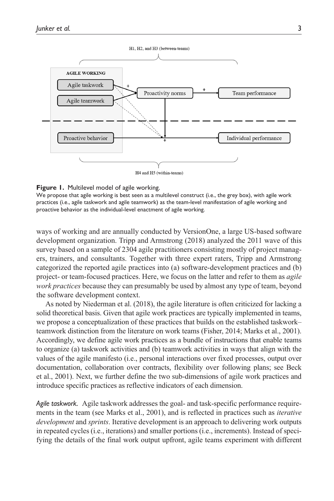

### **Figure 1.** Multilevel model of agile working.

We propose that agile working is best seen as a multilevel construct (i.e., the grey box), with agile work practices (i.e., agile taskwork and agile teamwork) as the team-level manifestation of agile working and proactive behavior as the individual-level enactment of agile working.

ways of working and are annually conducted by VersionOne, a large US-based software development organization. Tripp and Armstrong (2018) analyzed the 2011 wave of this survey based on a sample of 2304 agile practitioners consisting mostly of project managers, trainers, and consultants. Together with three expert raters, Tripp and Armstrong categorized the reported agile practices into (a) software-development practices and (b) project- or team-focused practices. Here, we focus on the latter and refer to them as *agile work practices* because they can presumably be used by almost any type of team, beyond the software development context.

As noted by Niederman et al. (2018), the agile literature is often criticized for lacking a solid theoretical basis. Given that agile work practices are typically implemented in teams, we propose a conceptualization of these practices that builds on the established taskwork– teamwork distinction from the literature on work teams (Fisher, 2014; Marks et al., 2001). Accordingly, we define agile work practices as a bundle of instructions that enable teams to organize (a) taskwork activities and (b) teamwork activities in ways that align with the values of the agile manifesto (i.e., personal interactions over fixed processes, output over documentation, collaboration over contracts, flexibility over following plans; see Beck et al., 2001). Next, we further define the two sub-dimensions of agile work practices and introduce specific practices as reflective indicators of each dimension.

*Agile taskwork.* Agile taskwork addresses the goal- and task-specific performance requirements in the team (see Marks et al., 2001), and is reflected in practices such as *iterative development* and *sprints*. Iterative development is an approach to delivering work outputs in repeated cycles (i.e., iterations) and smaller portions (i.e., increments). Instead of specifying the details of the final work output upfront, agile teams experiment with different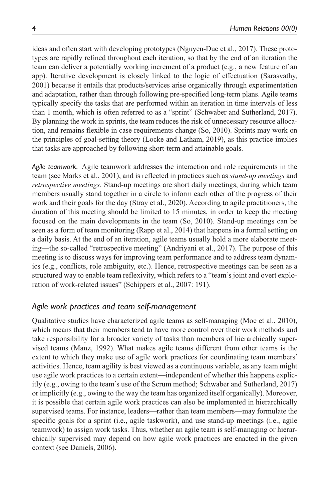ideas and often start with developing prototypes (Nguyen-Duc et al., 2017). These prototypes are rapidly refined throughout each iteration, so that by the end of an iteration the team can deliver a potentially working increment of a product (e.g., a new feature of an app). Iterative development is closely linked to the logic of effectuation (Sarasvathy, 2001) because it entails that products/services arise organically through experimentation and adaptation, rather than through following pre-specified long-term plans. Agile teams typically specify the tasks that are performed within an iteration in time intervals of less than 1 month, which is often referred to as a "sprint" (Schwaber and Sutherland, 2017). By planning the work in sprints, the team reduces the risk of unnecessary resource allocation, and remains flexible in case requirements change (So, 2010). Sprints may work on the principles of goal-setting theory (Locke and Latham, 2019), as this practice implies that tasks are approached by following short-term and attainable goals.

*Agile teamwork.* Agile teamwork addresses the interaction and role requirements in the team (see Marks et al., 2001), and is reflected in practices such as *stand-up meetings* and *retrospective meetings*. Stand-up meetings are short daily meetings, during which team members usually stand together in a circle to inform each other of the progress of their work and their goals for the day (Stray et al., 2020). According to agile practitioners, the duration of this meeting should be limited to 15 minutes, in order to keep the meeting focused on the main developments in the team (So, 2010). Stand-up meetings can be seen as a form of team monitoring (Rapp et al., 2014) that happens in a formal setting on a daily basis. At the end of an iteration, agile teams usually hold a more elaborate meeting—the so-called "retrospective meeting" (Andriyani et al., 2017). The purpose of this meeting is to discuss ways for improving team performance and to address team dynamics (e.g., conflicts, role ambiguity, etc.). Hence, retrospective meetings can be seen as a structured way to enable team reflexivity, which refers to a "team's joint and overt exploration of work-related issues" (Schippers et al., 2007: 191).

# *Agile work practices and team self-management*

Qualitative studies have characterized agile teams as self-managing (Moe et al., 2010), which means that their members tend to have more control over their work methods and take responsibility for a broader variety of tasks than members of hierarchically supervised teams (Manz, 1992). What makes agile teams different from other teams is the extent to which they make use of agile work practices for coordinating team members' activities. Hence, team agility is best viewed as a continuous variable, as any team might use agile work practices to a certain extent—independent of whether this happens explicitly (e.g., owing to the team's use of the Scrum method; Schwaber and Sutherland, 2017) or implicitly (e.g., owing to the way the team has organized itself organically). Moreover, it is possible that certain agile work practices can also be implemented in hierarchically supervised teams. For instance, leaders—rather than team members—may formulate the specific goals for a sprint (i.e., agile taskwork), and use stand-up meetings (i.e., agile teamwork) to assign work tasks. Thus, whether an agile team is self-managing or hierarchically supervised may depend on how agile work practices are enacted in the given context (see Daniels, 2006).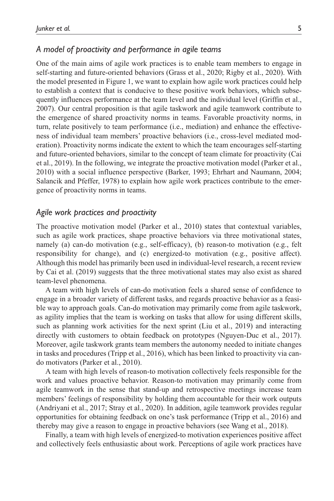### *A model of proactivity and performance in agile teams*

One of the main aims of agile work practices is to enable team members to engage in self-starting and future-oriented behaviors (Grass et al., 2020; Rigby et al., 2020). With the model presented in Figure 1, we want to explain how agile work practices could help to establish a context that is conducive to these positive work behaviors, which subsequently influences performance at the team level and the individual level (Griffin et al., 2007). Our central proposition is that agile taskwork and agile teamwork contribute to the emergence of shared proactivity norms in teams. Favorable proactivity norms, in turn, relate positively to team performance (i.e., mediation) and enhance the effectiveness of individual team members' proactive behaviors (i.e., cross-level mediated moderation). Proactivity norms indicate the extent to which the team encourages self-starting and future-oriented behaviors, similar to the concept of team climate for proactivity (Cai et al., 2019). In the following, we integrate the proactive motivation model (Parker et al., 2010) with a social influence perspective (Barker, 1993; Ehrhart and Naumann, 2004; Salancik and Pfeffer, 1978) to explain how agile work practices contribute to the emergence of proactivity norms in teams.

### *Agile work practices and proactivity*

The proactive motivation model (Parker et al., 2010) states that contextual variables, such as agile work practices, shape proactive behaviors via three motivational states, namely (a) can-do motivation (e.g., self-efficacy), (b) reason-to motivation (e.g., felt responsibility for change), and (c) energized-to motivation (e.g., positive affect). Although this model has primarily been used in individual-level research, a recent review by Cai et al. (2019) suggests that the three motivational states may also exist as shared team-level phenomena.

A team with high levels of can-do motivation feels a shared sense of confidence to engage in a broader variety of different tasks, and regards proactive behavior as a feasible way to approach goals. Can-do motivation may primarily come from agile taskwork, as agility implies that the team is working on tasks that allow for using different skills, such as planning work activities for the next sprint (Liu et al., 2019) and interacting directly with customers to obtain feedback on prototypes (Nguyen-Duc et al., 2017). Moreover, agile taskwork grants team members the autonomy needed to initiate changes in tasks and procedures (Tripp et al., 2016), which has been linked to proactivity via cando motivators (Parker et al., 2010).

A team with high levels of reason-to motivation collectively feels responsible for the work and values proactive behavior. Reason-to motivation may primarily come from agile teamwork in the sense that stand-up and retrospective meetings increase team members' feelings of responsibility by holding them accountable for their work outputs (Andriyani et al., 2017; Stray et al., 2020). In addition, agile teamwork provides regular opportunities for obtaining feedback on one's task performance (Tripp et al., 2016) and thereby may give a reason to engage in proactive behaviors (see Wang et al., 2018).

Finally, a team with high levels of energized-to motivation experiences positive affect and collectively feels enthusiastic about work. Perceptions of agile work practices have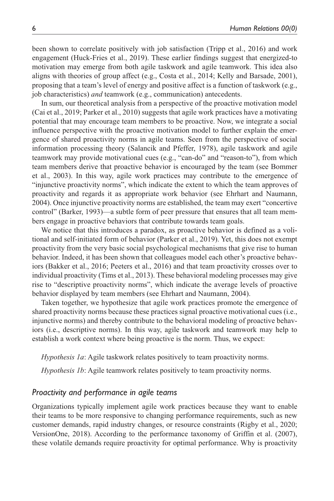been shown to correlate positively with job satisfaction (Tripp et al., 2016) and work engagement (Huck-Fries et al., 2019). These earlier findings suggest that energized-to motivation may emerge from both agile taskwork and agile teamwork. This idea also aligns with theories of group affect (e.g., Costa et al., 2014; Kelly and Barsade, 2001), proposing that a team's level of energy and positive affect is a function of taskwork (e.g., job characteristics) *and* teamwork (e.g., communication) antecedents.

In sum, our theoretical analysis from a perspective of the proactive motivation model (Cai et al., 2019; Parker et al., 2010) suggests that agile work practices have a motivating potential that may encourage team members to be proactive. Now, we integrate a social influence perspective with the proactive motivation model to further explain the emergence of shared proactivity norms in agile teams. Seen from the perspective of social information processing theory (Salancik and Pfeffer, 1978), agile taskwork and agile teamwork may provide motivational cues (e.g., "can-do" and "reason-to"), from which team members derive that proactive behavior is encouraged by the team (see Bommer et al., 2003). In this way, agile work practices may contribute to the emergence of "injunctive proactivity norms", which indicate the extent to which the team approves of proactivity and regards it as appropriate work behavior (see Ehrhart and Naumann, 2004). Once injunctive proactivity norms are established, the team may exert "concertive control" (Barker, 1993)—a subtle form of peer pressure that ensures that all team members engage in proactive behaviors that contribute towards team goals.

We notice that this introduces a paradox, as proactive behavior is defined as a volitional and self-initiated form of behavior (Parker et al., 2019). Yet, this does not exempt proactivity from the very basic social psychological mechanisms that give rise to human behavior. Indeed, it has been shown that colleagues model each other's proactive behaviors (Bakker et al., 2016; Peeters et al., 2016) and that team proactivity crosses over to individual proactivity (Tims et al., 2013). These behavioral modeling processes may give rise to "descriptive proactivity norms", which indicate the average levels of proactive behavior displayed by team members (see Ehrhart and Naumann, 2004).

Taken together, we hypothesize that agile work practices promote the emergence of shared proactivity norms because these practices signal proactive motivational cues (i.e., injunctive norms) and thereby contribute to the behavioral modeling of proactive behaviors (i.e., descriptive norms). In this way, agile taskwork and teamwork may help to establish a work context where being proactive is the norm. Thus, we expect:

*Hypothesis 1a*: Agile taskwork relates positively to team proactivity norms.

*Hypothesis 1b*: Agile teamwork relates positively to team proactivity norms.

### *Proactivity and performance in agile teams*

Organizations typically implement agile work practices because they want to enable their teams to be more responsive to changing performance requirements, such as new customer demands, rapid industry changes, or resource constraints (Rigby et al., 2020; VersionOne, 2018). According to the performance taxonomy of Griffin et al. (2007), these volatile demands require proactivity for optimal performance. Why is proactivity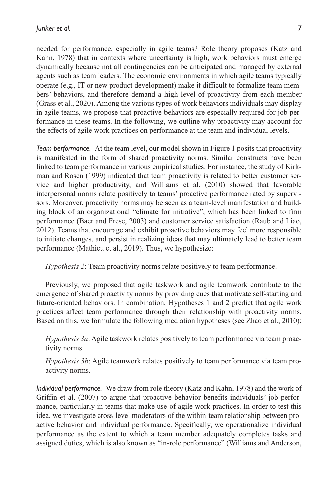needed for performance, especially in agile teams? Role theory proposes (Katz and Kahn, 1978) that in contexts where uncertainty is high, work behaviors must emerge dynamically because not all contingencies can be anticipated and managed by external agents such as team leaders. The economic environments in which agile teams typically operate (e.g., IT or new product development) make it difficult to formalize team members' behaviors, and therefore demand a high level of proactivity from each member (Grass et al., 2020). Among the various types of work behaviors individuals may display in agile teams, we propose that proactive behaviors are especially required for job performance in these teams. In the following, we outline why proactivity may account for the effects of agile work practices on performance at the team and individual levels.

*Team performance.* At the team level, our model shown in Figure 1 posits that proactivity is manifested in the form of shared proactivity norms. Similar constructs have been linked to team performance in various empirical studies. For instance, the study of Kirkman and Rosen (1999) indicated that team proactivity is related to better customer service and higher productivity, and Williams et al. (2010) showed that favorable interpersonal norms relate positively to teams' proactive performance rated by supervisors. Moreover, proactivity norms may be seen as a team-level manifestation and building block of an organizational "climate for initiative", which has been linked to firm performance (Baer and Frese, 2003) and customer service satisfaction (Raub and Liao, 2012). Teams that encourage and exhibit proactive behaviors may feel more responsible to initiate changes, and persist in realizing ideas that may ultimately lead to better team performance (Mathieu et al., 2019). Thus, we hypothesize:

*Hypothesis 2*: Team proactivity norms relate positively to team performance.

Previously, we proposed that agile taskwork and agile teamwork contribute to the emergence of shared proactivity norms by providing cues that motivate self-starting and future-oriented behaviors. In combination, Hypotheses 1 and 2 predict that agile work practices affect team performance through their relationship with proactivity norms. Based on this, we formulate the following mediation hypotheses (see Zhao et al., 2010):

*Hypothesis 3a*: Agile taskwork relates positively to team performance via team proactivity norms.

*Hypothesis 3b*: Agile teamwork relates positively to team performance via team proactivity norms.

*Individual performance.* We draw from role theory (Katz and Kahn, 1978) and the work of Griffin et al. (2007) to argue that proactive behavior benefits individuals' job performance, particularly in teams that make use of agile work practices. In order to test this idea, we investigate cross-level moderators of the within-team relationship between proactive behavior and individual performance. Specifically, we operationalize individual performance as the extent to which a team member adequately completes tasks and assigned duties, which is also known as "in-role performance" (Williams and Anderson,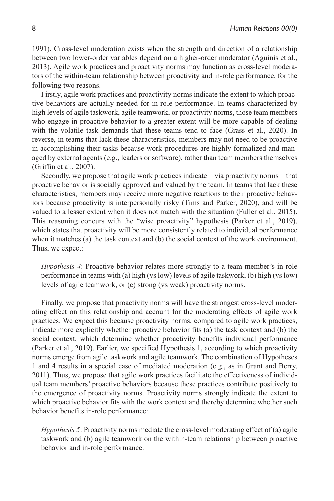1991). Cross-level moderation exists when the strength and direction of a relationship between two lower-order variables depend on a higher-order moderator (Aguinis et al., 2013). Agile work practices and proactivity norms may function as cross-level moderators of the within-team relationship between proactivity and in-role performance, for the following two reasons.

Firstly, agile work practices and proactivity norms indicate the extent to which proactive behaviors are actually needed for in-role performance. In teams characterized by high levels of agile taskwork, agile teamwork, or proactivity norms, those team members who engage in proactive behavior to a greater extent will be more capable of dealing with the volatile task demands that these teams tend to face (Grass et al., 2020). In reverse, in teams that lack these characteristics, members may not need to be proactive in accomplishing their tasks because work procedures are highly formalized and managed by external agents (e.g., leaders or software), rather than team members themselves (Griffin et al., 2007).

Secondly, we propose that agile work practices indicate—via proactivity norms—that proactive behavior is socially approved and valued by the team. In teams that lack these characteristics, members may receive more negative reactions to their proactive behaviors because proactivity is interpersonally risky (Tims and Parker, 2020), and will be valued to a lesser extent when it does not match with the situation (Fuller et al., 2015). This reasoning concurs with the "wise proactivity" hypothesis (Parker et al., 2019), which states that proactivity will be more consistently related to individual performance when it matches (a) the task context and (b) the social context of the work environment. Thus, we expect:

*Hypothesis 4*: Proactive behavior relates more strongly to a team member's in-role performance in teams with (a) high (vs low) levels of agile taskwork, (b) high (vs low) levels of agile teamwork, or (c) strong (vs weak) proactivity norms.

Finally, we propose that proactivity norms will have the strongest cross-level moderating effect on this relationship and account for the moderating effects of agile work practices. We expect this because proactivity norms, compared to agile work practices, indicate more explicitly whether proactive behavior fits (a) the task context and (b) the social context, which determine whether proactivity benefits individual performance (Parker et al., 2019). Earlier, we specified Hypothesis 1, according to which proactivity norms emerge from agile taskwork and agile teamwork. The combination of Hypotheses 1 and 4 results in a special case of mediated moderation (e.g., as in Grant and Berry, 2011). Thus, we propose that agile work practices facilitate the effectiveness of individual team members' proactive behaviors because these practices contribute positively to the emergence of proactivity norms. Proactivity norms strongly indicate the extent to which proactive behavior fits with the work context and thereby determine whether such behavior benefits in-role performance:

*Hypothesis 5*: Proactivity norms mediate the cross-level moderating effect of (a) agile taskwork and (b) agile teamwork on the within-team relationship between proactive behavior and in-role performance.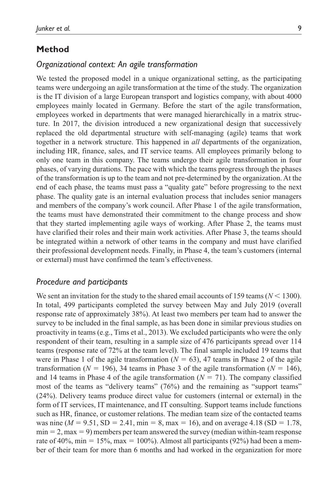# **Method**

### *Organizational context: An agile transformation*

We tested the proposed model in a unique organizational setting, as the participating teams were undergoing an agile transformation at the time of the study. The organization is the IT division of a large European transport and logistics company, with about 4000 employees mainly located in Germany. Before the start of the agile transformation, employees worked in departments that were managed hierarchically in a matrix structure. In 2017, the division introduced a new organizational design that successively replaced the old departmental structure with self-managing (agile) teams that work together in a network structure. This happened in *all* departments of the organization, including HR, finance, sales, and IT service teams. All employees primarily belong to only one team in this company. The teams undergo their agile transformation in four phases, of varying durations. The pace with which the teams progress through the phases of the transformation is up to the team and not pre-determined by the organization. At the end of each phase, the teams must pass a "quality gate" before progressing to the next phase. The quality gate is an internal evaluation process that includes senior managers and members of the company's work council. After Phase 1 of the agile transformation, the teams must have demonstrated their commitment to the change process and show that they started implementing agile ways of working. After Phase 2, the teams must have clarified their roles and their main work activities. After Phase 3, the teams should be integrated within a network of other teams in the company and must have clarified their professional development needs. Finally, in Phase 4, the team's customers (internal or external) must have confirmed the team's effectiveness.

### *Procedure and participants*

We sent an invitation for the study to the shared email accounts of 159 teams ( $N < 1300$ ). In total, 499 participants completed the survey between May and July 2019 (overall response rate of approximately 38%). At least two members per team had to answer the survey to be included in the final sample, as has been done in similar previous studies on proactivity in teams (e.g., Tims et al., 2013). We excluded participants who were the only respondent of their team, resulting in a sample size of 476 participants spread over 114 teams (response rate of 72% at the team level). The final sample included 19 teams that were in Phase 1 of the agile transformation  $(N = 63)$ , 47 teams in Phase 2 of the agile transformation ( $N = 196$ ), 34 teams in Phase 3 of the agile transformation ( $N = 146$ ), and 14 teams in Phase 4 of the agile transformation  $(N = 71)$ . The company classified most of the teams as "delivery teams" (76%) and the remaining as "support teams" (24%). Delivery teams produce direct value for customers (internal or external) in the form of IT services, IT maintenance, and IT consulting. Support teams include functions such as HR, finance, or customer relations. The median team size of the contacted teams was nine  $(M = 9.51, SD = 2.41, min = 8, max = 16)$ , and on average 4.18 (SD = 1.78,  $min = 2, max = 9$ ) members per team answered the survey (median within-team response rate of 40%, min = 15%, max = 100%). Almost all participants (92%) had been a member of their team for more than 6 months and had worked in the organization for more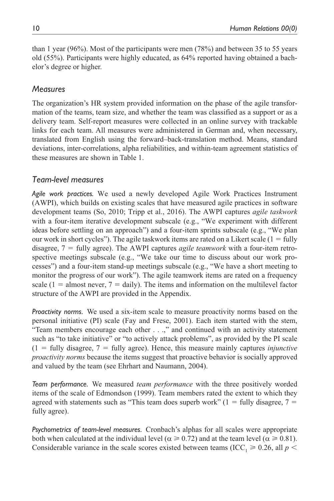than 1 year (96%). Most of the participants were men (78%) and between 35 to 55 years old (55%). Participants were highly educated, as 64% reported having obtained a bachelor's degree or higher.

# *Measures*

The organization's HR system provided information on the phase of the agile transformation of the teams, team size, and whether the team was classified as a support or as a delivery team. Self-report measures were collected in an online survey with trackable links for each team. All measures were administered in German and, when necessary, translated from English using the forward–back-translation method. Means, standard deviations, inter-correlations, alpha reliabilities, and within-team agreement statistics of these measures are shown in Table 1.

# *Team-level measures*

*Agile work practices.* We used a newly developed Agile Work Practices Instrument (AWPI), which builds on existing scales that have measured agile practices in software development teams (So, 2010; Tripp et al., 2016). The AWPI captures *agile taskwork* with a four-item iterative development subscale (e.g., "We experiment with different ideas before settling on an approach") and a four-item sprints subscale (e.g., "We plan our work in short cycles"). The agile taskwork items are rated on a Likert scale  $(1 = \text{fully})$ disagree, 7 = fully agree). The AWPI captures *agile teamwork* with a four-item retrospective meetings subscale (e.g., "We take our time to discuss about our work processes") and a four-item stand-up meetings subscale (e.g., "We have a short meeting to monitor the progress of our work"). The agile teamwork items are rated on a frequency scale  $(1 =$  almost never,  $7 =$  daily). The items and information on the multilevel factor structure of the AWPI are provided in the Appendix.

*Proactivity norms.* We used a six-item scale to measure proactivity norms based on the personal initiative (PI) scale (Fay and Frese, 2001). Each item started with the stem, "Team members encourage each other . . .," and continued with an activity statement such as "to take initiative" or "to actively attack problems", as provided by the PI scale  $(1 =$  fully disagree,  $7 =$  fully agree). Hence, this measure mainly captures *injunctive proactivity norms* because the items suggest that proactive behavior is socially approved and valued by the team (see Ehrhart and Naumann, 2004).

*Team performance.* We measured *team performance* with the three positively worded items of the scale of Edmondson (1999). Team members rated the extent to which they agreed with statements such as "This team does superb work"  $(1 = \text{fully disagree}, 7 =$ fully agree).

*Psychometrics of team-level measures.* Cronbach's alphas for all scales were appropriate both when calculated at the individual level ( $\alpha \ge 0.72$ ) and at the team level ( $\alpha \ge 0.81$ ). Considerable variance in the scale scores existed between teams (ICC<sub>1</sub>  $\geq$  0.26, all *p* <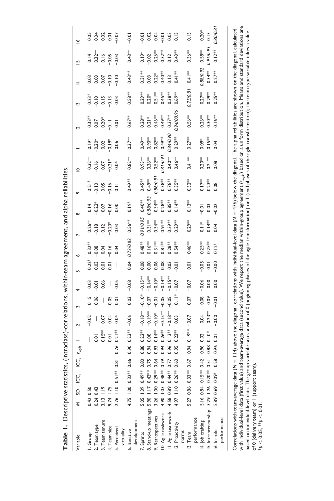| Variable                                                                 | ξ                      | SD ICC                            | $ICC2$ $r_{wgh}$    |                                                                                                                                                                  |                       |                |           |                | ۰         |               | $\infty$  |                     | $\subseteq$            |           | $\overline{C}$ | ≅         | $\overline{4}$ | 뜨                              | ڡ                |
|--------------------------------------------------------------------------|------------------------|-----------------------------------|---------------------|------------------------------------------------------------------------------------------------------------------------------------------------------------------|-----------------------|----------------|-----------|----------------|-----------|---------------|-----------|---------------------|------------------------|-----------|----------------|-----------|----------------|--------------------------------|------------------|
| dhoup.                                                                   | 0.42 0.50              |                                   |                     |                                                                                                                                                                  | $-0.02$               |                | 0.03      | $0.22*$        | $0.32***$ | $0.26***$     |           | $0.21*$             | $0.32***$              |           | $0.33**$       | $0.23*$   | 0.03           | 0.14                           | 0.05             |
| . Team type                                                              | $0.24$ 0.43            |                                   |                     | 0.01                                                                                                                                                             |                       | 0.06           | $-0.01$   | 0.03           | $-0.08$   | $-0.18$       | $-0.22*$  | $-0.10$             | $-0.16$                | $-0.20*$  | 0.07           | $-0.10$   | 0.03           |                                |                  |
| . Team tenure                                                            | 3.13 1.19<br>9.74 1.75 |                                   |                     | $0.15***$                                                                                                                                                        | 0.07                  | I              | 0.06      | $\overline{0}$ | 0.04      | $-0.12$       | $-0.07$   | 0.05                | $-0.07$                | $-0.02$   | $0.20*$        | 0.15      | 0.07           | $0.32***$<br>$0.16$            | 0.07             |
| . Team size                                                              |                        |                                   |                     | 0.01                                                                                                                                                             | 0.04                  | 0.05           |           | $\overline{0}$ | $-0.16$   | $-0.20*$      | $-0.16$   | $-0.16$             | $-0.21*$               | $-0.19*$  | $\frac{1}{2}$  | $-0.13$   | $-0.10$        | $-0.05$                        | $\overline{0}$ . |
| . Perceived                                                              |                        | 2.76 1.10 0.51** 0.               | $\overline{\infty}$ | $0.21***$<br>0.76                                                                                                                                                | 0.04                  | $\overline{0}$ | 0.05      |                | 0.04      | 0.03          | 0.00      | $\overline{5}$      | 0.04                   | 0.06      | 0.01           | 0.03      | $-0.10$        | $-0.03$                        | $-0.07$          |
| virtuality                                                               |                        |                                   |                     |                                                                                                                                                                  |                       |                |           |                |           |               |           |                     |                        |           |                |           |                |                                |                  |
| 6. Iterative                                                             |                        | $4.75$ 1.00 0.32** 0.             | \$                  | $0.23***$<br>0.90                                                                                                                                                | $-0.06$               | 0.03           | $-0.08$   | 0.04           | 0.72/0.82 | $0.56**$      | $0.19*$   | $0.49**$            | $0.82***$              | $0.37**$  | $0.67***$      | $0.58**$  | $0.43**$       | $0.43**$                       | $-0.01$          |
| development                                                              |                        |                                   |                     |                                                                                                                                                                  |                       |                |           |                |           |               |           |                     |                        |           |                |           |                |                                |                  |
| Sprints                                                                  |                        | 5.05 1.39 0.49***                 | 80<br>$\circ$       | $0.22***$<br>0.88                                                                                                                                                | $-0.18$               | $-0.10*$       | $-0.15**$ | 0.08           | $0.48***$ | 0.91/0.95     | $0.40**$  | $0.45**$            | $0.93***$              | $0.49***$ | $0.28***$      | $0.29**$  | $0.31**$       | $0.19*$                        | $-0.01$          |
| Stand-up meetings 5.90 1.17 0.42 <sup>14</sup>                           |                        |                                   | 0.75                | 0.08<br>0.94                                                                                                                                                     | $-0.19**$             | $-0.07$        | $-0.14**$ | 0.00           | $0.16**$  | $0.31**$      | 0.88/0.93 | $0.49**$            | $0.36***$              | $0.90**$  | $0.21*$        | $0.20*$   | 0.03           | 0.02                           | 0.02             |
| . Retrospectives                                                         |                        | 3.26 1.00 0.29 <sup>**</sup> 0.64 |                     | $0.14***$<br>0.93                                                                                                                                                | $-0.10*$              | $-0.01$        | $-0.10*$  | 0.06           | $0.31**$  | $0.34***$     | $0.34***$ | 0.86/0.9            | $0.52***$              | $0.82***$ | $0.46**$       | $0.51**$  | $0.22*$        |                                | 0.04             |
| 0. Agile taskwork                                                        |                        | 4.90 1.03 0.48 <sup>**</sup> 0.79 |                     | $0.26***$<br>0.94                                                                                                                                                | $-0.15**$             | $-0.05$        | $-6.14*$  | 0.08           | $0.81**$  | $0.91**$      | $0.28***$ | $0.38***$           | 0.81/0.91              | $0.49**$  | $0.49**$       | $0.45**$  | $0.40**$       | $0.26**$<br>$0.32**$<br>$0.12$ | $-0.01$          |
| I. Agile teamwork                                                        |                        | 4.58 0.89 0.44 <sup>**</sup> 0.77 |                     | $0.13***$<br>0.96                                                                                                                                                | $-0.18$ <sup>**</sup> | $-0.05$        | $-0.15**$ | 0.03           | $0.28***$ | $0.39***$     | $0.85**$  | $0.78**$            | $0.40**$               | 0.84/0.90 | $0.37***$      | $0.38***$ | $\frac{1}{2}$  |                                | 0.03             |
| 2. Proactivity                                                           |                        | 4.97 1.10 0.26 <sup>***</sup>     | <b>S</b>            | $0.23***$<br>0.95                                                                                                                                                | 0.03                  | $\frac{1}{2}$  | $-0.07$   | $-0.01$        | $0.54***$ | $0.29***$     | $0.14***$ | $0.35***$           | $0.46**$               | $0.29***$ | 0.94/00.96     | $0.69***$ | $0.41**$       | $0.43***$                      | 0.13             |
| norms                                                                    |                        |                                   |                     |                                                                                                                                                                  |                       |                |           |                |           |               |           |                     |                        |           |                |           |                |                                |                  |
| 13. Team                                                                 |                        | 5.27 0.86 0.33**                  | 0.67                | $0.19**$<br>0.94                                                                                                                                                 | $-0.07$               | 0.07           | $-0.07$   | 0.01           | $0.46***$ | $0.29**$      | $0.13**$  | $0.32***$           | $0.41**$               | $0.27***$ | $0.56**$       | 0.75/0.81 | $0.41**$       | $0.36**$                       | 0.13             |
| performance                                                              |                        |                                   |                     |                                                                                                                                                                  |                       |                |           |                |           |               |           |                     |                        |           |                |           |                |                                |                  |
| 4. Job crafting $5.160.840.15**$<br>5. Intrapreneurship $3.291.260.20**$ |                        |                                   | 0.42                | 0.02<br>0.96                                                                                                                                                     | 0.04                  | 0.08           | $-0.06$   | $-0.05$        | $0.25***$ | $\frac{1}{2}$ | $-0.01$   |                     |                        | $0.09*$   | $0.26***$      | $0.27***$ | 0.88/0.92      | $0.58**$                       | $0.20*$          |
|                                                                          |                        |                                   | 0.51                | $0.10*$<br>0.88                                                                                                                                                  | $0.23***$             | 0.09           | 0.00      | 0.01           | $0.25**$  | $0.14***$     | 0.03      | $0.17***$<br>0.23** | $0.20***$<br>$0.21***$ | $0.15**$  | $0.30***$      | $0.29***$ | $0.34***$      | 0.91/0.93                      | 0.13             |
| 16. In-role                                                              |                        | 5.89 0.69 0.09*                   | 0.28                | $\overline{0}$ .01<br>0.96                                                                                                                                       | $-0.00$               | $-0.01$        | 0.00      | $-0.00$        | $0.12*$   | 0.04          | $-0.02$   | 0.08                | 0.08                   | 0.04      | $0.16**$       | $0.25**$  | $0.27***$      | $0.12***$                      | 0.80/0.8         |
| performance                                                              |                        |                                   |                     |                                                                                                                                                                  |                       |                |           |                |           |               |           |                     |                        |           |                |           |                |                                |                  |
|                                                                          |                        |                                   |                     |                                                                                                                                                                  |                       |                |           |                |           |               |           |                     |                        |           |                |           |                |                                |                  |
| Correlations with team-average data (N                                   |                        |                                   |                     | $=$ 114) above the diagonal, correlations with individual-level data (N = 476) below the diagonal. The alpha reliabilities are shown on the diagonal, calculated |                       |                |           |                |           |               |           |                     |                        |           |                |           |                |                                |                  |
|                                                                          |                        |                                   |                     |                                                                                                                                                                  |                       |                |           |                |           |               |           |                     |                        |           |                |           |                |                                |                  |

Table 1. Descriptive statistics, (intraclass)-correlations, within-team agreement, and alpha reliabilities. **Table 1.** Descriptive statistics, (intraclass)-correlations, within-team agreement, and alpha reliabilities.

with individual-level data (first value) and team-average data (second value). We report the median within-group agreement (r<sub>agi</sub>)) based on a uniform distribution. Means and standard deviations are<br>based on individual-le with individual-level data (first value) and team-average data (second value). We report the median within-group agreement (*r*wg(*j*)) based on a uniform distribution. Means and standard deviations are based on individual-level data. The group variable takes a value of 0 (beginning phases of the adion) or 1 (end phases of the agile transformation); the team type variable takes a value of 0 (delivery team) or 1 (support team).  $*_{p}$  < 0.05,  $*_{p}$  < 0.01.  ${}^*\!p < 0.05,$   ${}^*\!{*}\!p < 0.01.$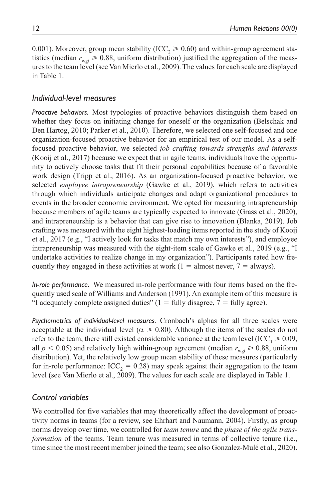0.001). Moreover, group mean stability (ICC<sub>2</sub>  $\geq$  0.60) and within-group agreement statistics (median  $r_{\text{w0}} \ge 0.88$ , uniform distribution) justified the aggregation of the measures to the team level (see Van Mierlo et al., 2009). The values for each scale are displayed in Table 1.

# *Individual-level measures*

*Proactive behaviors.* Most typologies of proactive behaviors distinguish them based on whether they focus on initiating change for oneself or the organization (Belschak and Den Hartog, 2010; Parker et al., 2010). Therefore, we selected one self-focused and one organization-focused proactive behavior for an empirical test of our model. As a selffocused proactive behavior, we selected *job crafting towards strengths and interests* (Kooij et al., 2017) because we expect that in agile teams, individuals have the opportunity to actively choose tasks that fit their personal capabilities because of a favorable work design (Tripp et al., 2016). As an organization-focused proactive behavior, we selected *employee intrapreneurship* (Gawke et al., 2019), which refers to activities through which individuals anticipate changes and adapt organizational procedures to events in the broader economic environment. We opted for measuring intrapreneurship because members of agile teams are typically expected to innovate (Grass et al., 2020), and intrapreneurship is a behavior that can give rise to innovation (Blanka, 2019). Job crafting was measured with the eight highest-loading items reported in the study of Kooij et al., 2017 (e.g., "I actively look for tasks that match my own interests"), and employee intrapreneurship was measured with the eight-item scale of Gawke et al., 2019 (e.g., "I undertake activities to realize change in my organization"). Participants rated how frequently they engaged in these activities at work ( $1 =$  almost never,  $7 =$  always).

*In-role performance.* We measured in-role performance with four items based on the frequently used scale of Williams and Anderson (1991). An example item of this measure is "I adequately complete assigned duties"  $(1 - \text{fully disagree}, 7 - \text{fully agree}).$ 

*Psychometrics of individual-level measures.* Cronbach's alphas for all three scales were acceptable at the individual level ( $\alpha \ge 0.80$ ). Although the items of the scales do not refer to the team, there still existed considerable variance at the team level (ICC<sub>1</sub>  $\geq$  0.09, all  $p < 0.05$ ) and relatively high within-group agreement (median  $r_{wgi} \ge 0.88$ , uniform distribution). Yet, the relatively low group mean stability of these measures (particularly for in-role performance:  $ICC_2 = 0.28)$  may speak against their aggregation to the team level (see Van Mierlo et al., 2009). The values for each scale are displayed in Table 1.

# *Control variables*

We controlled for five variables that may theoretically affect the development of proactivity norms in teams (for a review, see Ehrhart and Naumann, 2004). Firstly, as group norms develop over time, we controlled for *team tenure* and the *phase of the agile transformation* of the teams. Team tenure was measured in terms of collective tenure (i.e., time since the most recent member joined the team; see also Gonzalez-Mulé et al., 2020).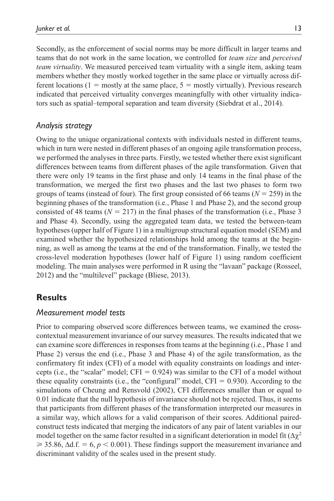Secondly, as the enforcement of social norms may be more difficult in larger teams and teams that do not work in the same location, we controlled for *team size* and *perceived team virtuality*. We measured perceived team virtuality with a single item, asking team members whether they mostly worked together in the same place or virtually across different locations (1 = mostly at the same place,  $5 =$  mostly virtually). Previous research indicated that perceived virtuality converges meaningfully with other virtuality indicators such as spatial–temporal separation and team diversity (Siebdrat et al., 2014).

# *Analysis strategy*

Owing to the unique organizational contexts with individuals nested in different teams, which in turn were nested in different phases of an ongoing agile transformation process, we performed the analyses in three parts. Firstly, we tested whether there exist significant differences between teams from different phases of the agile transformation. Given that there were only 19 teams in the first phase and only 14 teams in the final phase of the transformation, we merged the first two phases and the last two phases to form two groups of teams (instead of four). The first group consisted of 66 teams (*N* = 259) in the beginning phases of the transformation (i.e., Phase 1 and Phase 2), and the second group consisted of 48 teams ( $N = 217$ ) in the final phases of the transformation (i.e., Phase 3 and Phase 4). Secondly, using the aggregated team data, we tested the between-team hypotheses (upper half of Figure 1) in a multigroup structural equation model (SEM) and examined whether the hypothesized relationships hold among the teams at the beginning, as well as among the teams at the end of the transformation. Finally, we tested the cross-level moderation hypotheses (lower half of Figure 1) using random coefficient modeling. The main analyses were performed in R using the "lavaan" package (Rosseel, 2012) and the "multilevel" package (Bliese, 2013).

# **Results**

# *Measurement model tests*

Prior to comparing observed score differences between teams, we examined the crosscontextual measurement invariance of our survey measures. The results indicated that we can examine score differences in responses from teams at the beginning (i.e., Phase 1 and Phase 2) versus the end (i.e., Phase 3 and Phase 4) of the agile transformation, as the confirmatory fit index (CFI) of a model with equality constraints on loadings and intercepts (i.e., the "scalar" model; CFI =  $0.924$ ) was similar to the CFI of a model without these equality constraints (i.e., the "configural" model,  $CFI = 0.930$ ). According to the simulations of Cheung and Rensvold (2002), CFI differences smaller than or equal to 0.01 indicate that the null hypothesis of invariance should not be rejected. Thus, it seems that participants from different phases of the transformation interpreted our measures in a similar way, which allows for a valid comparison of their scores. Additional pairedconstruct tests indicated that merging the indicators of any pair of latent variables in our model together on the same factor resulted in a significant deterioration in model fit  $(\Delta \chi^2)$  $\geq 35.86$ ,  $\Delta d.f. = 6$ ,  $p < 0.001$ ). These findings support the measurement invariance and discriminant validity of the scales used in the present study.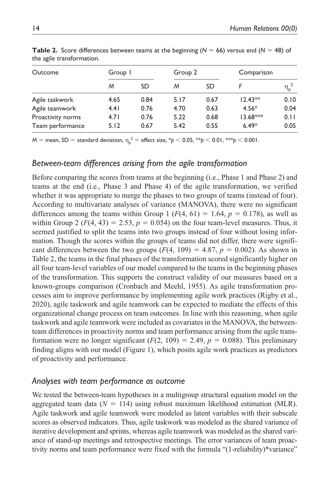| Outcome           | Group I |           | Group 2 |           | Comparison |                  |
|-------------------|---------|-----------|---------|-----------|------------|------------------|
|                   | Μ       | <b>SD</b> | M       | <b>SD</b> |            | $\eta_{\rm p}^2$ |
| Agile taskwork    | 4.65    | 0.84      | 5.17    | 0.67      | $12.43**$  | 0.10             |
| Agile teamwork    | 4.41    | 0.76      | 4.70    | 0.63      | $4.56*$    | 0.04             |
| Proactivity norms | 4.71    | 0.76      | 5.22    | 0.68      | $13.68***$ | 0.11             |
| Team performance  | 5.12    | 0.67      | 5.42    | 0.55      | $6.49*$    | 0.05             |

**Table 2.** Score differences between teams at the beginning ( $N = 66$ ) versus end ( $N = 48$ ) of the agile transformation.

*M* = mean, SD = standard deviation, η<sup>p</sup> <sup>2</sup> = effect size, \**p* < 0.05, \*\**p* < 0.01, \*\*\**p* < 0.001.

# *Between-team differences arising from the agile transformation*

Before comparing the scores from teams at the beginning (i.e., Phase 1 and Phase 2) and teams at the end (i.e., Phase 3 and Phase 4) of the agile transformation, we verified whether it was appropriate to merge the phases to two groups of teams (instead of four). According to multivariate analyses of variance (MANOVA), there were no significant differences among the teams within Group 1 ( $F(4, 61) = 1.64$ ,  $p = 0.178$ ), as well as within Group 2 ( $F(4, 43) = 2.53$ ,  $p = 0.054$ ) on the four team-level measures. Thus, it seemed justified to split the teams into two groups instead of four without losing information. Though the scores within the groups of teams did not differ, there were significant differences between the two groups  $(F(4, 109) = 4.87, p = 0.002)$ . As shown in Table 2, the teams in the final phases of the transformation scored significantly higher on all four team-level variables of our model compared to the teams in the beginning phases of the transformation. This supports the construct validity of our measures based on a known-groups comparison (Cronbach and Meehl, 1955). As agile transformation processes aim to improve performance by implementing agile work practices (Rigby et al., 2020), agile taskwork and agile teamwork can be expected to mediate the effects of this organizational change process on team outcomes. In line with this reasoning, when agile taskwork and agile teamwork were included as covariates in the MANOVA, the betweenteam differences in proactivity norms and team performance arising from the agile transformation were no longer significant  $(F(2, 109) = 2.49, p = 0.088)$ . This preliminary finding aligns with our model (Figure 1), which posits agile work practices as predictors of proactivity and performance.

# *Analyses with team performance as outcome*

We tested the between-team hypotheses in a multigroup structural equation model on the aggregated team data  $(N = 114)$  using robust maximum likelihood estimation (MLR). Agile taskwork and agile teamwork were modeled as latent variables with their subscale scores as observed indicators. Thus, agile taskwork was modeled as the shared variance of iterative development and sprints, whereas agile teamwork was modeled as the shared variance of stand-up meetings and retrospective meetings. The error variances of team proactivity norms and team performance were fixed with the formula "(1-reliability)\*variance"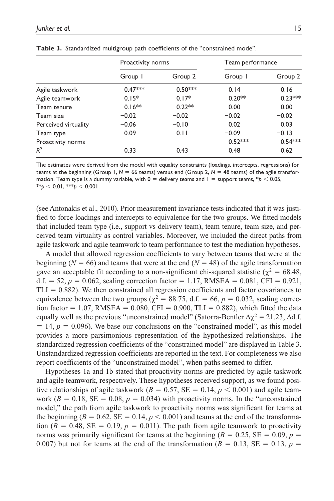|                      | Proactivity norms |           | Team performance |           |
|----------------------|-------------------|-----------|------------------|-----------|
|                      | Group I           | Group 2   | Group I          | Group 2   |
| Agile taskwork       | $0.47***$         | $0.50***$ | 0.14             | 0.16      |
| Agile teamwork       | $0.15*$           | $0.17*$   | $0.20**$         | $0.23***$ |
| Team tenure          | $0.16**$          | $0.22**$  | 0.00             | 0.00      |
| Team size            | $-0.02$           | $-0.02$   | $-0.02$          | $-0.02$   |
| Perceived virtuality | $-0.06$           | $-0.10$   | 0.02             | 0.03      |
| Team type            | 0.09              | 0.11      | $-0.09$          | $-0.13$   |
| Proactivity norms    |                   |           | $0.52***$        | $0.54***$ |
| $R^2$                | 0.33              | 0.43      | 0.48             | 0.62      |

**Table 3.** Standardized multigroup path coefficients of the "constrained mode".

The estimates were derived from the model with equality constraints (loadings, intercepts, regressions) for teams at the beginning (Group 1,  $N = 66$  teams) versus end (Group 2,  $N = 48$  teams) of the agile transformation. Team type is a dummy variable, with  $0 =$  delivery teams and  $1 =$  support teams,  $*p < 0.05$ ,  $**_p < 0.01$ ,  $**_p < 0.001$ .

(see Antonakis et al., 2010). Prior measurement invariance tests indicated that it was justified to force loadings and intercepts to equivalence for the two groups. We fitted models that included team type (i.e., support vs delivery team), team tenure, team size, and perceived team virtuality as control variables. Moreover, we included the direct paths from agile taskwork and agile teamwork to team performance to test the mediation hypotheses.

A model that allowed regression coefficients to vary between teams that were at the beginning ( $N = 66$ ) and teams that were at the end ( $N = 48$ ) of the agile transformation gave an acceptable fit according to a non-significant chi-squared statistic ( $\chi^2 = 68.48$ , d.f. = 52,  $p = 0.062$ , scaling correction factor = 1.17, RMSEA =  $0.081$ , CFI =  $0.921$ ,  $TLI = 0.882$ ). We then constrained all regression coefficients and factor covariances to equivalence between the two groups ( $\chi^2 = 88.75$ , d.f. = 66,  $p = 0.032$ , scaling correction factor = 1.07, RMSEA = 0.080, CFI = 0.900, TLI = 0.882), which fitted the data equally well as the previous "unconstrained model" (Satorra-Bentler  $\Delta \chi^2 = 21.23$ ,  $\Delta d.f.$  $= 14$ ,  $p = 0.096$ ). We base our conclusions on the "constrained model", as this model provides a more parsimonious representation of the hypothesized relationships. The standardized regression coefficients of the "constrained model" are displayed in Table 3. Unstandardized regression coefficients are reported in the text. For completeness we also report coefficients of the "unconstrained model", when paths seemed to differ.

Hypotheses 1a and 1b stated that proactivity norms are predicted by agile taskwork and agile teamwork, respectively. These hypotheses received support, as we found positive relationships of agile taskwork ( $B = 0.57$ ,  $SE = 0.14$ ,  $p < 0.001$ ) and agile teamwork  $(B = 0.18, SE = 0.08, p = 0.034)$  with proactivity norms. In the "unconstrained" model," the path from agile taskwork to proactivity norms was significant for teams at the beginning ( $B = 0.62$ ,  $SE = 0.14$ ,  $p < 0.001$ ) and teams at the end of the transformation ( $B = 0.48$ ,  $SE = 0.19$ ,  $p = 0.011$ ). The path from agile teamwork to proactivity norms was primarily significant for teams at the beginning ( $B = 0.25$ ,  $SE = 0.09$ ,  $p =$ 0.007) but not for teams at the end of the transformation ( $B = 0.13$ ,  $SE = 0.13$ ,  $p =$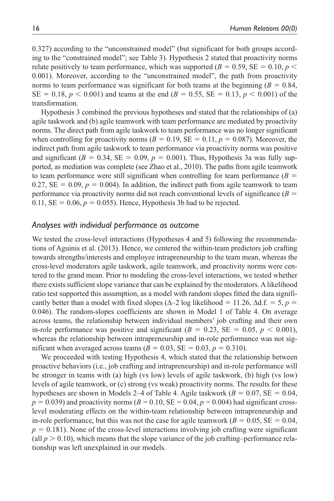0.327) according to the "unconstrained model" (but significant for both groups according to the "constrained model"; see Table 3). Hypothesis 2 stated that proactivity norms relate positively to team performance, which was supported ( $B = 0.59$ ,  $SE = 0.10$ ,  $p \le$ 0.001). Moreover, according to the "unconstrained model", the path from proactivity norms to team performance was significant for both teams at the beginning  $(B = 0.84,$  $SE = 0.18, p < 0.001$  and teams at the end ( $B = 0.55$ ,  $SE = 0.13, p < 0.001$ ) of the transformation.

Hypothesis 3 combined the previous hypotheses and stated that the relationships of (a) agile taskwork and (b) agile teamwork with team performance are mediated by proactivity norms. The direct path from agile taskwork to team performance was no longer significant when controlling for proactivity norms  $(B = 0.19, SE = 0.11, p = 0.087)$ . Moreover, the indirect path from agile taskwork to team performance via proactivity norms was positive and significant ( $B = 0.34$ ,  $SE = 0.09$ ,  $p = 0.001$ ). Thus, Hypothesis 3a was fully supported, as mediation was complete (see Zhao et al., 2010). The paths from agile teamwork to team performance were still significant when controlling for team performance  $(B =$ 0.27,  $SE = 0.09$ ,  $p = 0.004$ ). In addition, the indirect path from agile teamwork to team performance via proactivity norms did not reach conventional levels of significance  $(B =$ 0.11,  $SE = 0.06$ ,  $p = 0.055$ ). Hence, Hypothesis 3b had to be rejected.

### *Analyses with individual performance as outcome*

We tested the cross-level interactions (Hypotheses 4 and 5) following the recommendations of Aguinis et al. (2013). Hence, we centered the within-team predictors job crafting towards strengths/interests and employee intrapreneurship to the team mean, whereas the cross-level moderators agile taskwork, agile teamwork, and proactivity norms were centered to the grand mean. Prior to modeling the cross-level interactions, we tested whether there exists sufficient slope variance that can be explained by the moderators. A likelihood ratio test supported this assumption, as a model with random slopes fitted the data significantly better than a model with fixed slopes ( $\Delta$ –2 log likelihood = 11.26,  $\Delta$ d.f. = 5, *p* = 0.046). The random-slopes coefficients are shown in Model 1 of Table 4. On average across teams, the relationship between individual members' job crafting and their own in-role performance was positive and significant  $(B = 0.23, SE = 0.05, p < 0.001)$ , whereas the relationship between intrapreneurship and in-role performance was not significant when averaged across teams ( $B = 0.03$ ,  $SE = 0.03$ ,  $p = 0.310$ ).

We proceeded with testing Hypothesis 4, which stated that the relationship between proactive behaviors (i.e., job crafting and intrapreneurship) and in-role performance will be stronger in teams with (a) high (vs low) levels of agile taskwork, (b) high (vs low) levels of agile teamwork, or (c) strong (vs weak) proactivity norms. The results for these hypotheses are shown in Models 2–4 of Table 4. Agile taskwork ( $B = 0.07$ , SE = 0.04,  $p = 0.039$ ) and proactivity norms ( $B = 0.10$ ,  $SE = 0.04$ ,  $p = 0.004$ ) had significant crosslevel moderating effects on the within-team relationship between intrapreneurship and in-role performance, but this was not the case for agile teamwork ( $B = 0.05$ ,  $SE = 0.04$ ,  $p = 0.181$ ). None of the cross-level interactions involving job crafting were significant (all  $p > 0.10$ ), which means that the slope variance of the job crafting–performance relationship was left unexplained in our models.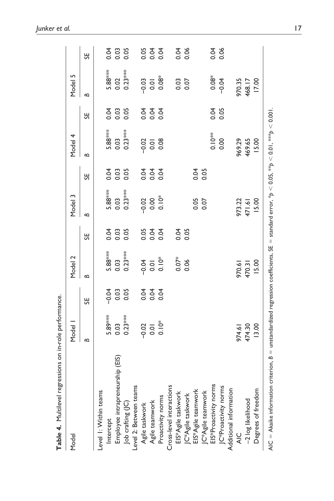| Table 4. Multilevel regressions on in-role performance.                                                                                   |                          |                         |                                  |      |                             |                       |              |                |                 |                                 |
|-------------------------------------------------------------------------------------------------------------------------------------------|--------------------------|-------------------------|----------------------------------|------|-----------------------------|-----------------------|--------------|----------------|-----------------|---------------------------------|
| Model                                                                                                                                     | Model                    |                         | Model 2                          |      | Model 3                     |                       | Model 4      |                | Model 5         |                                 |
|                                                                                                                                           | $\mathbf{a}$             | 55                      | $\mathbf{a}$                     | 55   | $\approx$                   | 55                    | $\mathbf{a}$ | 55             | $\mathbf{a}$    | 55                              |
| Level I: Within teams                                                                                                                     |                          |                         |                                  |      |                             |                       |              |                |                 |                                 |
| Intercept                                                                                                                                 | 5.89***                  |                         | 5.88***                          |      | 5.88***                     | 0.04                  | 5.88***      |                | 5.88***         |                                 |
| rship (EIS)<br>Employee intrapreneu                                                                                                       | 0.03                     | $rac{3}{6}$ $rac{3}{6}$ | 0.03                             |      | 0.03                        | 0.03                  | 0.03         | 0.03           | 0.02            | 3. 3. 3.<br>3. 3. 3.            |
| Job crafting (JC)                                                                                                                         | $0.23***$                | 0.05                    | $0.23***$                        |      | $0.23***$                   | 0.05                  | $0.23***$    | 0.05           | $0.23***$       |                                 |
| Level 2: Between teams                                                                                                                    |                          |                         |                                  |      |                             |                       |              |                |                 |                                 |
| Agile taskwork                                                                                                                            |                          |                         |                                  |      |                             |                       |              |                |                 |                                 |
| Agile teamwork                                                                                                                            | $-0.02$<br>0.01<br>0.10* | 3 3 3<br>3 3 3<br>0 0   | $rac{4}{0.01}$<br>$rac{6}{0.01}$ |      | $0.02$<br>$0.006$<br>$0.06$ | 8<br>2<br>2<br>2<br>2 | $-0.01$      | 3 3 3<br>0 0 0 | 0.03            | 5<br>5<br>5<br>5<br>5<br>5<br>5 |
| Proactivity norms                                                                                                                         |                          |                         |                                  |      |                             | 0.04                  | 0.08         |                | $0.08*$         |                                 |
| Cross-level interactions                                                                                                                  |                          |                         |                                  |      |                             |                       |              |                |                 |                                 |
| EIS*Agile taskwork                                                                                                                        |                          |                         | $0.07*$                          |      |                             |                       |              |                |                 |                                 |
| JC*Agile taskwork                                                                                                                         |                          |                         | 0.06                             | 0.05 |                             |                       |              |                | 0.03            | 0.06                            |
| EIS*Agile teamwork                                                                                                                        |                          |                         |                                  |      | 0.05                        | 0.04                  |              |                |                 |                                 |
| JC*Agile teamwork                                                                                                                         |                          |                         |                                  |      |                             | 0.05                  |              |                |                 |                                 |
| EIS*Proactivity norms                                                                                                                     |                          |                         |                                  |      |                             |                       | $0.10**$     |                | $0.08*$         |                                 |
| JC*Proactivity norms                                                                                                                      |                          |                         |                                  |      |                             |                       | 0.00         | 0.05           | $-0.04$         | 0.06                            |
| Additional information                                                                                                                    |                          |                         |                                  |      |                             |                       |              |                |                 |                                 |
| $\frac{0}{4}$                                                                                                                             | 974.61                   |                         | 970.61                           |      | 973.22                      |                       | 969.29       |                | 970.35          |                                 |
| -2 log likelihood                                                                                                                         | 474.30                   |                         | 470.31                           |      | 471.61                      |                       | 469.65       |                | 468.17<br>17.00 |                                 |
| Degrees of freedom                                                                                                                        | 13.00                    |                         | 15.00                            |      | 15.00                       |                       | 15.00        |                |                 |                                 |
| AIC = Akaike information criterion, B = unstandardized regression coefficients, SE = standard error, *p < 0.05, **p < 0.01, ***p < 0.001. |                          |                         |                                  |      |                             |                       |              |                |                 |                                 |

*Junker et al.* 17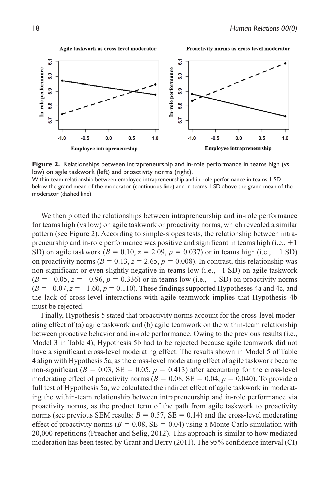### Agile taskwork as cross-level moderator





**Figure 2.** Relationships between intrapreneurship and in-role performance in teams high (vs low) on agile taskwork (left) and proactivity norms (right).

Within-team relationship between employee intrapreneurship and in-role performance in teams 1 SD below the grand mean of the moderator (continuous line) and in teams 1 SD above the grand mean of the moderator (dashed line).

We then plotted the relationships between intrapreneurship and in-role performance for teams high (vs low) on agile taskwork or proactivity norms, which revealed a similar pattern (see Figure 2). According to simple-slopes tests, the relationship between intrapreneurship and in-role performance was positive and significant in teams high (i.e.,  $+1$ ) SD) on agile taskwork  $(B = 0.10, z = 2.09, p = 0.037)$  or in teams high (i.e., +1 SD) on proactivity norms ( $B = 0.13$ ,  $z = 2.65$ ,  $p = 0.008$ ). In contrast, this relationship was non-significant or even slightly negative in teams low (i.e.,  $-1$  SD) on agile taskwork (*B* = −0.05, *z* = −0.96, *p* = 0.336) or in teams low (i.e., −1 SD) on proactivity norms  $(B = -0.07, z = -1.60, p = 0.110)$ . These findings supported Hypotheses 4a and 4c, and the lack of cross-level interactions with agile teamwork implies that Hypothesis 4b must be rejected.

Finally, Hypothesis 5 stated that proactivity norms account for the cross-level moderating effect of (a) agile taskwork and (b) agile teamwork on the within-team relationship between proactive behavior and in-role performance. Owing to the previous results (i.e., Model 3 in Table 4), Hypothesis 5b had to be rejected because agile teamwork did not have a significant cross-level moderating effect. The results shown in Model 5 of Table 4 align with Hypothesis 5a, as the cross-level moderating effect of agile taskwork became non-significant ( $B = 0.03$ ,  $SE = 0.05$ ,  $p = 0.413$ ) after accounting for the cross-level moderating effect of proactivity norms ( $B = 0.08$ ,  $SE = 0.04$ ,  $p = 0.040$ ). To provide a full test of Hypothesis 5a, we calculated the indirect effect of agile taskwork in moderating the within-team relationship between intrapreneurship and in-role performance via proactivity norms, as the product term of the path from agile taskwork to proactivity norms (see previous SEM results:  $B = 0.57$ , SE = 0.14) and the cross-level moderating effect of proactivity norms ( $B = 0.08$ ,  $SE = 0.04$ ) using a Monte Carlo simulation with 20,000 repetitions (Preacher and Selig, 2012). This approach is similar to how mediated moderation has been tested by Grant and Berry (2011). The 95% confidence interval (CI)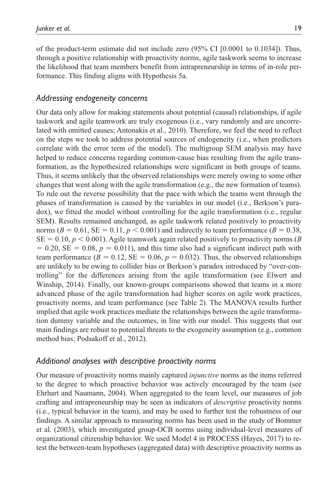of the product-term estimate did not include zero (95% CI [0.0001 to 0.1034]). Thus, through a positive relationship with proactivity norms, agile taskwork seems to increase the likelihood that team members benefit from intrapreneurship in terms of in-role performance. This finding aligns with Hypothesis 5a.

# *Addressing endogeneity concerns*

Our data only allow for making statements about potential (causal) relationships, if agile taskwork and agile teamwork are truly exogenous (i.e., vary randomly and are uncorrelated with omitted causes; Antonakis et al., 2010). Therefore, we feel the need to reflect on the steps we took to address potential sources of endogeneity (i.e., when predictors correlate with the error term of the model). The multigroup SEM analysis may have helped to reduce concerns regarding common-cause bias resulting from the agile transformation, as the hypothesized relationships were significant in both groups of teams. Thus, it seems unlikely that the observed relationships were merely owing to some other changes that went along with the agile transformation (e.g., the new formation of teams). To rule out the reverse possibility that the pace with which the teams went through the phases of transformation is caused by the variables in our model (i.e., Berkson's paradox), we fitted the model without controlling for the agile transformation (i.e., regular SEM). Results remained unchanged, as agile taskwork related positively to proactivity norms  $(B = 0.61, SE = 0.11, p < 0.001)$  and indirectly to team performance  $(B = 0.38,$  $SE = 0.10, p < 0.001$ ). Agile teamwork again related positively to proactivity norms (*B*)  $= 0.20$ , SE  $= 0.08$ ,  $p = 0.011$ ), and this time also had a significant indirect path with team performance  $(B = 0.12, SE = 0.06, p = 0.032)$ . Thus, the observed relationships are unlikely to be owing to collider bias or Berkson's paradox introduced by "over-controlling" for the differences arising from the agile transformation (see Elwert and Winship, 2014). Finally, our known-groups comparisons showed that teams in a more advanced phase of the agile transformation had higher scores on agile work practices, proactivity norms, and team performance (see Table 2). The MANOVA results further implied that agile work practices mediate the relationships between the agile transformation dummy variable and the outcomes, in line with our model. This suggests that our main findings are robust to potential threats to the exogeneity assumption (e.g., common method bias; Podsakoff et al., 2012).

# *Additional analyses with descriptive proactivity norms*

Our measure of proactivity norms mainly captured *injunctive* norms as the items referred to the degree to which proactive behavior was actively encouraged by the team (see Ehrhart and Naumann, 2004). When aggregated to the team level, our measures of job crafting and intrapreneurship may be seen as indicators of *descriptive* proactivity norms (i.e., typical behavior in the team), and may be used to further test the robustness of our findings. A similar approach to measuring norms has been used in the study of Bommer et al. (2003), which investigated group-OCB norms using individual-level measures of organizational citizenship behavior. We used Model 4 in PROCESS (Hayes, 2017) to retest the between-team hypotheses (aggregated data) with descriptive proactivity norms as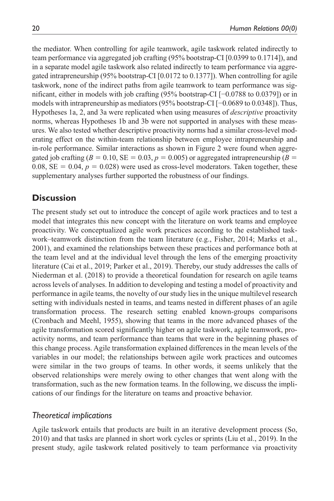the mediator. When controlling for agile teamwork, agile taskwork related indirectly to team performance via aggregated job crafting (95% bootstrap-CI [0.0399 to 0.1714]), and in a separate model agile taskwork also related indirectly to team performance via aggregated intrapreneurship (95% bootstrap-CI [0.0172 to 0.1377]). When controlling for agile taskwork, none of the indirect paths from agile teamwork to team performance was significant, either in models with job crafting (95% bootstrap-CI [−0.0788 to 0.0379]) or in models with intrapreneurship as mediators (95% bootstrap-CI [−0.0689 to 0.0348]). Thus, Hypotheses 1a, 2, and 3a were replicated when using measures of *descriptive* proactivity norms, whereas Hypotheses 1b and 3b were not supported in analyses with these measures. We also tested whether descriptive proactivity norms had a similar cross-level moderating effect on the within-team relationship between employee intrapreneurship and in-role performance. Similar interactions as shown in Figure 2 were found when aggregated job crafting ( $B = 0.10$ ,  $SE = 0.03$ ,  $p = 0.005$ ) or aggregated intrapreneurship ( $B = 0.01$ ) 0.08,  $SE = 0.04$ ,  $p = 0.028$ ) were used as cross-level moderators. Taken together, these supplementary analyses further supported the robustness of our findings.

# **Discussion**

The present study set out to introduce the concept of agile work practices and to test a model that integrates this new concept with the literature on work teams and employee proactivity. We conceptualized agile work practices according to the established taskwork–teamwork distinction from the team literature (e.g., Fisher, 2014; Marks et al., 2001), and examined the relationships between these practices and performance both at the team level and at the individual level through the lens of the emerging proactivity literature (Cai et al., 2019; Parker et al., 2019). Thereby, our study addresses the calls of Niederman et al. (2018) to provide a theoretical foundation for research on agile teams across levels of analyses. In addition to developing and testing a model of proactivity and performance in agile teams, the novelty of our study lies in the unique multilevel research setting with individuals nested in teams, and teams nested in different phases of an agile transformation process. The research setting enabled known-groups comparisons (Cronbach and Meehl, 1955), showing that teams in the more advanced phases of the agile transformation scored significantly higher on agile taskwork, agile teamwork, proactivity norms, and team performance than teams that were in the beginning phases of this change process. Agile transformation explained differences in the mean levels of the variables in our model; the relationships between agile work practices and outcomes were similar in the two groups of teams. In other words, it seems unlikely that the observed relationships were merely owing to other changes that went along with the transformation, such as the new formation teams. In the following, we discuss the implications of our findings for the literature on teams and proactive behavior.

# *Theoretical implications*

Agile taskwork entails that products are built in an iterative development process (So, 2010) and that tasks are planned in short work cycles or sprints (Liu et al., 2019). In the present study, agile taskwork related positively to team performance via proactivity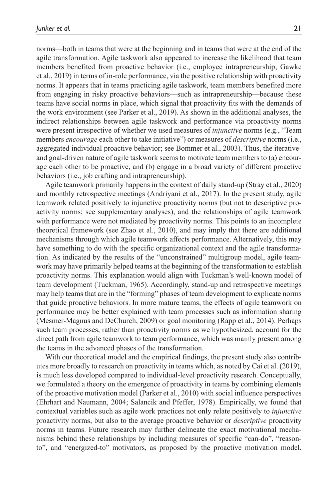norms—both in teams that were at the beginning and in teams that were at the end of the agile transformation. Agile taskwork also appeared to increase the likelihood that team members benefited from proactive behavior (i.e., employee intrapreneurship; Gawke et al., 2019) in terms of in-role performance, via the positive relationship with proactivity norms. It appears that in teams practicing agile taskwork, team members benefited more from engaging in risky proactive behaviors—such as intrapreneurship—because these teams have social norms in place, which signal that proactivity fits with the demands of the work environment (see Parker et al., 2019). As shown in the additional analyses, the indirect relationships between agile taskwork and performance via proactivity norms were present irrespective of whether we used measures of *injunctive* norms (e.g., "Team members *encourage* each other to take initiative") or measures of *descriptive* norms (i.e., aggregated individual proactive behavior; see Bommer et al., 2003). Thus, the iterativeand goal-driven nature of agile taskwork seems to motivate team members to (a) encourage each other to be proactive, and (b) engage in a broad variety of different proactive behaviors (i.e., job crafting and intrapreneurship).

Agile teamwork primarily happens in the context of daily stand-up (Stray et al., 2020) and monthly retrospective meetings (Andriyani et al., 2017). In the present study, agile teamwork related positively to injunctive proactivity norms (but not to descriptive proactivity norms; see supplementary analyses), and the relationships of agile teamwork with performance were not mediated by proactivity norms. This points to an incomplete theoretical framework (see Zhao et al., 2010), and may imply that there are additional mechanisms through which agile teamwork affects performance. Alternatively, this may have something to do with the specific organizational context and the agile transformation. As indicated by the results of the "unconstrained" multigroup model, agile teamwork may have primarily helped teams at the beginning of the transformation to establish proactivity norms. This explanation would align with Tuckman's well-known model of team development (Tuckman, 1965). Accordingly, stand-up and retrospective meetings may help teams that are in the "forming" phases of team development to explicate norms that guide proactive behaviors. In more mature teams, the effects of agile teamwork on performance may be better explained with team processes such as information sharing (Mesmer-Magnus and DeChurch, 2009) or goal monitoring (Rapp et al., 2014). Perhaps such team processes, rather than proactivity norms as we hypothesized, account for the direct path from agile teamwork to team performance, which was mainly present among the teams in the advanced phases of the transformation.

With our theoretical model and the empirical findings, the present study also contributes more broadly to research on proactivity in teams which, as noted by Cai et al. (2019), is much less developed compared to individual-level proactivity research. Conceptually, we formulated a theory on the emergence of proactivity in teams by combining elements of the proactive motivation model (Parker et al., 2010) with social influence perspectives (Ehrhart and Naumann, 2004; Salancik and Pfeffer, 1978). Empirically, we found that contextual variables such as agile work practices not only relate positively to *injunctive* proactivity norms, but also to the average proactive behavior or *descriptive* proactivity norms in teams. Future research may further delineate the exact motivational mechanisms behind these relationships by including measures of specific "can-do", "reasonto", and "energized-to" motivators, as proposed by the proactive motivation model.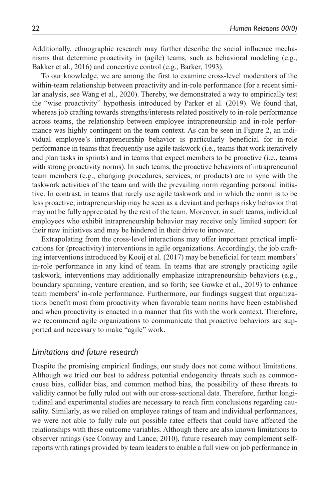Additionally, ethnographic research may further describe the social influence mechanisms that determine proactivity in (agile) teams, such as behavioral modeling (e.g., Bakker et al., 2016) and concertive control (e.g., Barker, 1993).

To our knowledge, we are among the first to examine cross-level moderators of the within-team relationship between proactivity and in-role performance (for a recent similar analysis, see Wang et al., 2020). Thereby, we demonstrated a way to empirically test the "wise proactivity" hypothesis introduced by Parker et al. (2019). We found that, whereas job crafting towards strengths/interests related positively to in-role performance across teams, the relationship between employee intrapreneurship and in-role performance was highly contingent on the team context. As can be seen in Figure 2, an individual employee's intrapreneurship behavior is particularly beneficial for in-role performance in teams that frequently use agile taskwork (i.e., teams that work iteratively and plan tasks in sprints) and in teams that expect members to be proactive (i.e., teams with strong proactivity norms). In such teams, the proactive behaviors of intrapreneurial team members (e.g., changing procedures, services, or products) are in sync with the taskwork activities of the team and with the prevailing norm regarding personal initiative. In contrast, in teams that rarely use agile taskwork and in which the norm is to be less proactive, intrapreneurship may be seen as a deviant and perhaps risky behavior that may not be fully appreciated by the rest of the team. Moreover, in such teams, individual employees who exhibit intrapreneurship behavior may receive only limited support for their new initiatives and may be hindered in their drive to innovate.

Extrapolating from the cross-level interactions may offer important practical implications for (proactivity) interventions in agile organizations. Accordingly, the job crafting interventions introduced by Kooij et al. (2017) may be beneficial for team members' in-role performance in any kind of team. In teams that are strongly practicing agile taskwork, interventions may additionally emphasize intrapreneurship behaviors (e.g., boundary spanning, venture creation, and so forth; see Gawke et al., 2019) to enhance team members' in-role performance. Furthermore, our findings suggest that organizations benefit most from proactivity when favorable team norms have been established and when proactivity is enacted in a manner that fits with the work context. Therefore, we recommend agile organizations to communicate that proactive behaviors are supported and necessary to make "agile" work.

### *Limitations and future research*

Despite the promising empirical findings, our study does not come without limitations. Although we tried our best to address potential endogeneity threats such as commoncause bias, collider bias, and common method bias, the possibility of these threats to validity cannot be fully ruled out with our cross-sectional data. Therefore, further longitudinal and experimental studies are necessary to reach firm conclusions regarding causality. Similarly, as we relied on employee ratings of team and individual performances, we were not able to fully rule out possible ratee effects that could have affected the relationships with these outcome variables. Although there are also known limitations to observer ratings (see Conway and Lance, 2010), future research may complement selfreports with ratings provided by team leaders to enable a full view on job performance in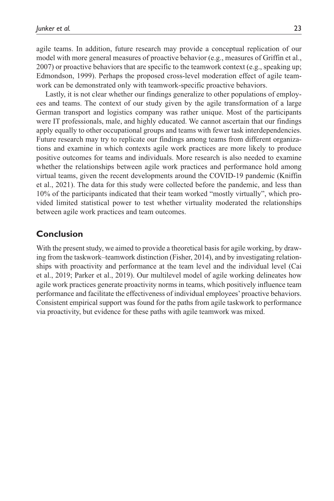agile teams. In addition, future research may provide a conceptual replication of our model with more general measures of proactive behavior (e.g., measures of Griffin et al., 2007) or proactive behaviors that are specific to the teamwork context (e.g., speaking up; Edmondson, 1999). Perhaps the proposed cross-level moderation effect of agile teamwork can be demonstrated only with teamwork-specific proactive behaviors.

Lastly, it is not clear whether our findings generalize to other populations of employees and teams. The context of our study given by the agile transformation of a large German transport and logistics company was rather unique. Most of the participants were IT professionals, male, and highly educated. We cannot ascertain that our findings apply equally to other occupational groups and teams with fewer task interdependencies. Future research may try to replicate our findings among teams from different organizations and examine in which contexts agile work practices are more likely to produce positive outcomes for teams and individuals. More research is also needed to examine whether the relationships between agile work practices and performance hold among virtual teams, given the recent developments around the COVID-19 pandemic (Kniffin et al., 2021). The data for this study were collected before the pandemic, and less than 10% of the participants indicated that their team worked "mostly virtually", which provided limited statistical power to test whether virtuality moderated the relationships between agile work practices and team outcomes.

# **Conclusion**

With the present study, we aimed to provide a theoretical basis for agile working, by drawing from the taskwork–teamwork distinction (Fisher, 2014), and by investigating relationships with proactivity and performance at the team level and the individual level (Cai et al., 2019; Parker et al., 2019). Our multilevel model of agile working delineates how agile work practices generate proactivity norms in teams, which positively influence team performance and facilitate the effectiveness of individual employees' proactive behaviors. Consistent empirical support was found for the paths from agile taskwork to performance via proactivity, but evidence for these paths with agile teamwork was mixed.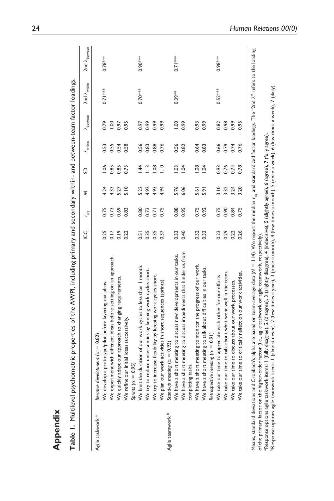|                             |                                                                       | UŪ<br>⊇ | Lwg  | Σ    | S              | $\lambda_{\rm within}$ | $\lambda_{\rm between}$ | 2nd $\lambda_{\text{within}}$ | 2nd $\lambda_{\text{between}}$ |
|-----------------------------|-----------------------------------------------------------------------|---------|------|------|----------------|------------------------|-------------------------|-------------------------------|--------------------------------|
| Agile taskwork <sup>a</sup> | Iterative development ( $\alpha = 0.82$ )                             |         |      |      |                |                        |                         |                               |                                |
|                             | We develop a prototype/pilot before layering out plans.               | 0.25    | 0.75 | 4.24 | $-0.06$        | 0.53                   | 0.79                    | $0.71***$                     | $0.78***$                      |
|                             | We experiment with different ideas before settling on an approach.    | 0.17    | 0.73 | 4.33 | 0.85           | 0.55                   | 00.1                    |                               |                                |
|                             | We quickly adapt our approach to changing requirements.               | 0.19    | 0.69 | 5.27 | 0.85           | 0.54                   | 0.97                    |                               |                                |
|                             | We refine our initial ideas successively.                             | 0.22    | 0.83 | 5.10 | 0.73           | 0.58                   | 0.95                    |                               |                                |
|                             | $= 0.95$<br>Sprints (a                                                |         |      |      |                |                        |                         |                               |                                |
|                             | We limit the duration of our work cycles to less than I month.        | 0.51    | 0.80 | 5.22 | $\overline{4}$ | 0.56                   | 0.97                    | $0.70***$                     | $0.90***$                      |
|                             | We try to reduce uncertainties by keeping work cycles short.          | 0.35    | 0.73 | 4.92 | $\frac{3}{2}$  | 0.83                   | 0.99                    |                               |                                |
|                             | We try to increase flexibility by keeping work cycles short.          | 0.35    | 0.71 | 4.93 | 0.08           | 0.88                   | 0.99                    |                               |                                |
|                             | our work activities in short sequences (sprints)<br>We plan           | 0.37    | 0.75 | 4.94 | $\frac{1}{2}$  | 0.76                   | 0.99                    |                               |                                |
| Agile teamwork <sup>b</sup> | meeting ( $\alpha = 0.93$ )<br>Stand-up                               |         |      |      |                |                        |                         |                               |                                |
|                             | a short meeting to discuss new developments in our tasks.<br>We have  | 0.33    | 0.88 | 5.76 | 1.03           | 0.56                   | 00.1                    | $0.39**$                      | $0.71***$                      |
|                             | a short meeting to discuss impediments that hinder us from<br>We have | 0.40    | 0.95 | 6.06 | 1.04           | 0.82                   | 0.99                    |                               |                                |
|                             | completing tasks.                                                     |         |      |      |                |                        |                         |                               |                                |
|                             | a short meeting to monitor the progress of our work.<br>We have       | 0.32    | 0.75 | 5.61 | 0.08           | 0.64                   | 0.93                    |                               |                                |
|                             | a short meeting to talk about difficulties in our tasks.<br>We have   | 0.33    | 0.92 | 5.91 | 1.04           | 0.83                   | 0.99                    |                               |                                |
|                             | Retrospective meeting $(\alpha = 0.91)$                               |         |      |      |                |                        |                         |                               |                                |
|                             | We take our time to appreciate each other for our efforts.            | 0.23    | 0.75 | 3.10 | 0.93           | 0.66                   | 0.82                    | $0.52***$                     | $0.98***$                      |
|                             | We take our time to talk about what went well in the team.            | 0.29    | 0.90 | 3.32 | 0.76           | 0.79                   | 0.98                    |                               |                                |
|                             | We take our time to discuss about our work processes.                 | 0.22    | 0.84 | 3.24 | 0.74           | 0.74                   | 0.99                    |                               |                                |
|                             | We take our time to critically reflect on our work activities         | 0.26    | 0.75 | 3.20 | 0.78           | 0.76                   | 0.95                    |                               |                                |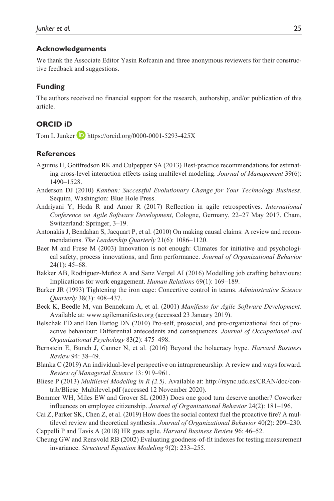### **Acknowledgements**

We thank the Associate Editor Yasin Rofcanin and three anonymous reviewers for their constructive feedback and suggestions.

### **Funding**

The authors received no financial support for the research, authorship, and/or publication of this article.

### **ORCID iD**

Tom L Junker  $\Box$  <https://orcid.org/0000-0001-5293-425X>

### **References**

- Aguinis H, Gottfredson RK and Culpepper SA (2013) Best-practice recommendations for estimating cross-level interaction effects using multilevel modeling. *Journal of Management* 39(6): 1490–1528.
- Anderson DJ (2010) *Kanban: Successful Evolutionary Change for Your Technology Business*. Sequim, Washington: Blue Hole Press.
- Andriyani Y, Hoda R and Amor R (2017) Reflection in agile retrospectives. *International Conference on Agile Software Development*, Cologne, Germany, 22–27 May 2017. Cham, Switzerland: Springer, 3–19.
- Antonakis J, Bendahan S, Jacquart P, et al. (2010) On making causal claims: A review and recommendations. *The Leadership Quarterly* 21(6): 1086–1120.
- Baer M and Frese M (2003) Innovation is not enough: Climates for initiative and psychological safety, process innovations, and firm performance. *Journal of Organizational Behavior* 24(1): 45–68.
- Bakker AB, Rodríguez-Muñoz A and Sanz Vergel AI (2016) Modelling job crafting behaviours: Implications for work engagement. *Human Relations* 69(1): 169–189.
- Barker JR (1993) Tightening the iron cage: Concertive control in teams. *Administrative Science Quarterly* 38(3): 408–437.
- Beck K, Beedle M, van Bennekum A, et al. (2001) *Manifesto for Agile Software Development*. Available at: <www.agilemanifesto.org>(accessed 23 January 2019).
- Belschak FD and Den Hartog DN (2010) Pro-self, prosocial, and pro-organizational foci of proactive behaviour: Differential antecedents and consequences. *Journal of Occupational and Organizational Psychology* 83(2): 475–498.
- Bernstein E, Bunch J, Canner N, et al. (2016) Beyond the holacracy hype. *Harvard Business Review* 94: 38–49.
- Blanka C (2019) An individual-level perspective on intrapreneurship: A review and ways forward. *Review of Managerial Science* 13: 919–961.
- Bliese P (2013) *Multilevel Modeling in R (2.5)*. Available at: [http://rsync.udc.es/CRAN/doc/con](http://rsync.udc.es/CRAN/doc/contrib/Bliese_Multilevel.pdf)[trib/Bliese\\_Multilevel.pdf](http://rsync.udc.es/CRAN/doc/contrib/Bliese_Multilevel.pdf) (accessed 12 November 2020).
- Bommer WH, Miles EW and Grover SL (2003) Does one good turn deserve another? Coworker influences on employee citizenship. *Journal of Organizational Behavior* 24(2): 181–196.
- Cai Z, Parker SK, Chen Z, et al. (2019) How does the social context fuel the proactive fire? A multilevel review and theoretical synthesis. *Journal of Organizational Behavior* 40(2): 209–230.

Cappelli P and Tavis A (2018) HR goes agile. *Harvard Business Review* 96: 46–52.

Cheung GW and Rensvold RB (2002) Evaluating goodness-of-fit indexes for testing measurement invariance. *Structural Equation Modeling* 9(2): 233–255.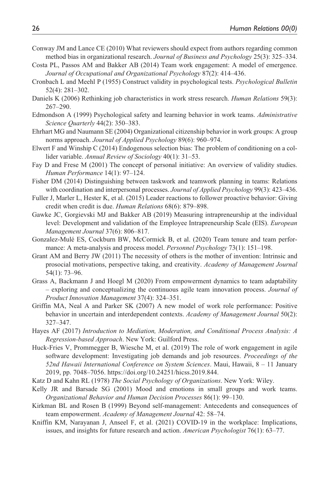- Conway JM and Lance CE (2010) What reviewers should expect from authors regarding common method bias in organizational research. *Journal of Business and Psychology* 25(3): 325–334.
- Costa PL, Passos AM and Bakker AB (2014) Team work engagement: A model of emergence. *Journal of Occupational and Organizational Psychology* 87(2): 414–436.
- Cronbach L and Meehl P (1955) Construct validity in psychological tests. *Psychological Bulletin* 52(4): 281–302.
- Daniels K (2006) Rethinking job characteristics in work stress research. *Human Relations* 59(3): 267–290.
- Edmondson A (1999) Psychological safety and learning behavior in work teams. *Administrative Science Quarterly* 44(2): 350–383.
- Ehrhart MG and Naumann SE (2004) Organizational citizenship behavior in work groups: A group norms approach. *Journal of Applied Psychology* 89(6): 960–974.
- Elwert F and Winship C (2014) Endogenous selection bias: The problem of conditioning on a collider variable. *Annual Review of Sociology* 40(1): 31–53.
- Fay D and Frese M (2001) The concept of personal initiative: An overview of validity studies. *Human Performance* 14(1): 97–124.
- Fisher DM (2014) Distinguishing between taskwork and teamwork planning in teams: Relations with coordination and interpersonal processes. *Journal of Applied Psychology* 99(3): 423–436.
- Fuller J, Marler L, Hester K, et al. (2015) Leader reactions to follower proactive behavior: Giving credit when credit is due. *Human Relations* 68(6): 879–898.
- Gawke JC, Gorgievski MJ and Bakker AB (2019) Measuring intrapreneurship at the individual level: Development and validation of the Employee Intrapreneurship Scale (EIS). *European Management Journal* 37(6): 806–817.
- Gonzalez-Mulé ES, Cockburn BW, McCormick B, et al. (2020) Team tenure and team performance: A meta-analysis and process model. *Personnel Psychology* 73(1): 151–198.
- Grant AM and Berry JW (2011) The necessity of others is the mother of invention: Intrinsic and prosocial motivations, perspective taking, and creativity. *Academy of Management Journal* 54(1): 73–96.
- Grass A, Backmann J and Hoegl M (2020) From empowerment dynamics to team adaptability – exploring and conceptualizing the continuous agile team innovation process. *Journal of Product Innovation Management* 37(4): 324–351.
- Griffin MA, Neal A and Parker SK (2007) A new model of work role performance: Positive behavior in uncertain and interdependent contexts. *Academy of Management Journal* 50(2): 327–347.
- Hayes AF (2017) *Introduction to Mediation, Moderation, and Conditional Process Analysis: A Regression-based Approach*. New York: Guilford Press.
- Huck-Fries V, Prommegger B, Wiesche M, et al. (2019) The role of work engagement in agile software development: Investigating job demands and job resources. *Proceedings of the 52nd Hawaii International Conference on System Sciences*. Maui, Hawaii, 8 – 11 January 2019, pp. 7048–7056. [https://doi.org/10.24251/hicss.2019.844.](https://doi.org/10.24251/hicss.2019.844)
- Katz D and Kahn RL (1978) *The Social Psychology of Organizations*. New York: Wiley.
- Kelly JR and Barsade SG (2001) Mood and emotions in small groups and work teams. *Organizational Behavior and Human Decision Processes* 86(1): 99–130.
- Kirkman BL and Rosen B (1999) Beyond self-management: Antecedents and consequences of team empowerment. *Academy of Management Journal* 42: 58–74.
- Kniffin KM, Narayanan J, Anseel F, et al. (2021) COVID-19 in the workplace: Implications, issues, and insights for future research and action. *American Psychologist* 76(1): 63–77.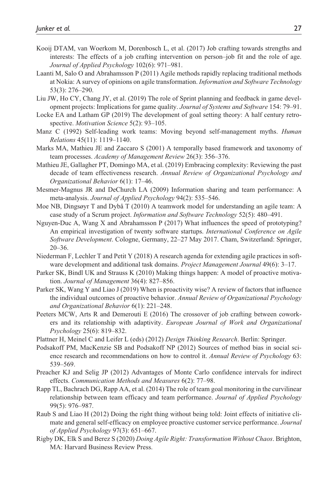- Kooij DTAM, van Woerkom M, Dorenbosch L, et al. (2017) Job crafting towards strengths and interests: The effects of a job crafting intervention on person–job fit and the role of age. *Journal of Applied Psychology* 102(6): 971–981.
- Laanti M, Salo O and Abrahamsson P (2011) Agile methods rapidly replacing traditional methods at Nokia: A survey of opinions on agile transformation. *Information and Software Technology* 53(3): 276–290.
- Liu JW, Ho CY, Chang JY, et al. (2019) The role of Sprint planning and feedback in game development projects: Implications for game quality. *Journal of Systems and Software* 154: 79–91.
- Locke EA and Latham GP (2019) The development of goal setting theory: A half century retrospective. *Motivation Science* 5(2): 93–105.
- Manz C (1992) Self-leading work teams: Moving beyond self-management myths. *Human Relations* 45(11): 1119–1140.
- Marks MA, Mathieu JE and Zaccaro S (2001) A temporally based framework and taxonomy of team processes. *Academy of Management Review* 26(3): 356–376.
- Mathieu JE, Gallagher PT, Domingo MA, et al. (2019) Embracing complexity: Reviewing the past decade of team effectiveness research. *Annual Review of Organizational Psychology and Organizational Behavior* 6(1): 17–46.
- Mesmer-Magnus JR and DeChurch LA (2009) Information sharing and team performance: A meta-analysis. *Journal of Applied Psychology* 94(2): 535–546.
- Moe NB, Dingsøyr T and Dybå T (2010) A teamwork model for understanding an agile team: A case study of a Scrum project. *Information and Software Technology* 52(5): 480–491.
- Nguyen-Duc A, Wang X and Abrahamsson P (2017) What influences the speed of prototyping? An empirical investigation of twenty software startups. *International Conference on Agile Software Development*. Cologne, Germany, 22–27 May 2017. Cham, Switzerland: Springer, 20–36.
- Niederman F, Lechler T and Petit Y (2018) A research agenda for extending agile practices in software development and additional task domains. *Project Management Journal* 49(6): 3–17.
- Parker SK, Bindl UK and Strauss K (2010) Making things happen: A model of proactive motivation. *Journal of Management* 36(4): 827–856.
- Parker SK, Wang Y and Liao J (2019) When is proactivity wise? A review of factors that influence the individual outcomes of proactive behavior. *Annual Review of Organizational Psychology and Organizational Behavior* 6(1): 221–248.
- Peeters MCW, Arts R and Demerouti E (2016) The crossover of job crafting between coworkers and its relationship with adaptivity. *European Journal of Work and Organizational Psychology* 25(6): 819–832.
- Plattner H, Meinel C and Leifer L (eds) (2012) *Design Thinking Research*. Berlin: Springer.
- Podsakoff PM, MacKenzie SB and Podsakoff NP (2012) Sources of method bias in social science research and recommendations on how to control it. *Annual Review of Psychology* 63: 539–569.
- Preacher KJ and Selig JP (2012) Advantages of Monte Carlo confidence intervals for indirect effects. *Communication Methods and Measures* 6(2): 77–98.
- Rapp TL, Bachrach DG, Rapp AA, et al. (2014) The role of team goal monitoring in the curvilinear relationship between team efficacy and team performance. *Journal of Applied Psychology* 99(5): 976–987.
- Raub S and Liao H (2012) Doing the right thing without being told: Joint effects of initiative climate and general self-efficacy on employee proactive customer service performance. *Journal of Applied Psychology* 97(3): 651–667.
- Rigby DK, Elk S and Berez S (2020) *Doing Agile Right: Transformation Without Chaos*. Brighton, MA: Harvard Business Review Press.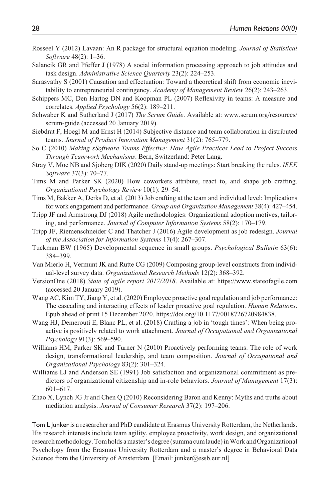- Rosseel Y (2012) Lavaan: An R package for structural equation modeling. *Journal of Statistical Software* 48(2): 1–36.
- Salancik GR and Pfeffer J (1978) A social information processing approach to job attitudes and task design. *Administrative Science Quarterly* 23(2): 224–253.
- Sarasvathy S (2001) Causation and effectuation: Toward a theoretical shift from economic inevitability to entrepreneurial contingency. *Academy of Management Review* 26(2): 243–263.
- Schippers MC, Den Hartog DN and Koopman PL (2007) Reflexivity in teams: A measure and correlates. *Applied Psychology* 56(2): 189–211.
- Schwaber K and Sutherland J (2017) *The Scrum Guide*. Available at: [www.scrum.org/resources/](www.scrum.org/resources/scrum-guide) [scrum-guide](www.scrum.org/resources/scrum-guide) (accessed 20 January 2019).
- Siebdrat F, Hoegl M and Ernst H (2014) Subjective distance and team collaboration in distributed teams. *Journal of Product Innovation Management* 31(2): 765–779.
- So C (2010) *Making sSoftware Teams Effective: How Agile Practices Lead to Project Success Through Teamwork Mechanisms*. Bern, Switzerland: Peter Lang.
- Stray V, Moe NB and Sjoberg DIK (2020) Daily stand-up meetings: Start breaking the rules. *IEEE Software* 37(3): 70–77.
- Tims M and Parker SK (2020) How coworkers attribute, react to, and shape job crafting. *Organizational Psychology Review* 10(1): 29–54.
- Tims M, Bakker A, Derks D, et al. (2013) Job crafting at the team and individual level: Implications for work engagement and performance. *Group and Organization Management* 38(4): 427–454.
- Tripp JF and Armstrong DJ (2018) Agile methodologies: Organizational adoption motives, tailoring, and performance. *Journal of Computer Information Systems* 58(2): 170–179.
- Tripp JF, Riemenschneider C and Thatcher J (2016) Agile development as job redesign. *Journal of the Association for Information Systems* 17(4): 267–307.
- Tuckman BW (1965) Developmental sequence in small groups. *Psychological Bulletin* 63(6): 384–399.
- Van Mierlo H, Vermunt JK and Rutte CG (2009) Composing group-level constructs from individual-level survey data. *Organizational Research Methods* 12(2): 368–392.
- VersionOne (2018) *State of agile report 2017/2018*. Available at: <https://www.stateofagile.com> (accessed 20 January 2019).
- Wang AC, Kim TY, Jiang Y, et al. (2020) Employee proactive goal regulation and job performance: The cascading and interacting effects of leader proactive goal regulation. *Human Relations*. Epub ahead of print 15 December 2020. [https://doi.org/10.1177/0018726720984838.](https://doi.org/10.1177/0018726720984838)
- Wang HJ, Demerouti E, Blanc PL, et al. (2018) Crafting a job in 'tough times': When being proactive is positively related to work attachment. *Journal of Occupational and Organizational Psychology* 91(3): 569–590.
- Williams HM, Parker SK and Turner N (2010) Proactively performing teams: The role of work design, transformational leadership, and team composition. *Journal of Occupational and Organizational Psychology* 83(2): 301–324.
- Williams LJ and Anderson SE (1991) Job satisfaction and organizational commitment as predictors of organizational citizenship and in-role behaviors. *Journal of Management* 17(3): 601–617.
- Zhao X, Lynch JG Jr and Chen Q (2010) Reconsidering Baron and Kenny: Myths and truths about mediation analysis. *Journal of Consumer Research* 37(2): 197–206.

Tom L Junker is a researcher and PhD candidate at Erasmus University Rotterdam, the Netherlands. His research interests include team agility, employee proactivity, work design, and organizational research methodology. Tom holds a master's degree (summa cum laude) in Work and Organizational Psychology from the Erasmus University Rotterdam and a master's degree in Behavioral Data Science from the University of Amsterdam. [Email: [junker@essb.eur.nl](mailto:junker@essb.eur.nl)]